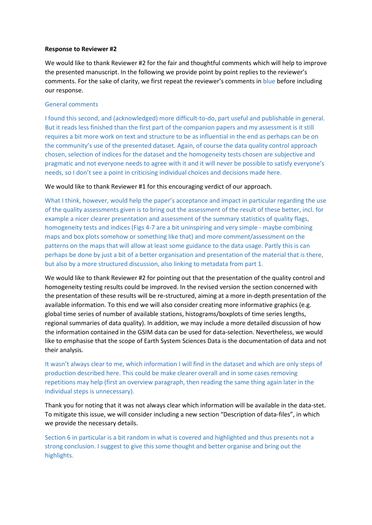## **Response to Reviewer #2**

We would like to thank Reviewer #2 for the fair and thoughtful comments which will help to improve the presented manuscript. In the following we provide point by point replies to the reviewer's comments. For the sake of clarity, we first repeat the reviewer's comments in blue before including our response.

# General comments

I found this second, and (acknowledged) more difficult-to-do, part useful and publishable in general. But it reads less finished than the first part of the companion papers and my assessment is it still requires a bit more work on text and structure to be as influential in the end as perhaps can be on the community's use of the presented dataset. Again, of course the data quality control approach chosen, selection of indices for the dataset and the homogeneity tests chosen are subjective and pragmatic and not everyone needs to agree with it and it will never be possible to satisfy everyone's needs, so I don't see a point in criticising individual choices and decisions made here.

## We would like to thank Reviewer #1 for this encouraging verdict of our approach.

What I think, however, would help the paper's acceptance and impact in particular regarding the use of the quality assessments given is to bring out the assessment of the result of these better, incl. for example a nicer clearer presentation and assessment of the summary statistics of quality flags, homogeneity tests and indices (Figs 4-7 are a bit uninspiring and very simple - maybe combining maps and box plots somehow or something like that) and more comment/assessment on the patterns on the maps that will allow at least some guidance to the data usage. Partly this is can perhaps be done by just a bit of a better organisation and presentation of the material that is there, but also by a more structured discussion, also linking to metadata from part 1.

We would like to thank Reviewer #2 for pointing out that the presentation of the quality control and homogeneity testing results could be improved. In the revised version the section concerned with the presentation of these results will be re-structured, aiming at a more in-depth presentation of the available information. To this end we will also consider creating more informative graphics (e.g. global time series of number of available stations, histograms/boxplots of time series lengths, regional summaries of data quality). In addition, we may include a more detailed discussion of how the information contained in the GSIM data can be used for data-selection. Nevertheless, we would like to emphasise that the scope of Earth System Sciences Data is the documentation of data and not their analysis.

It wasn't always clear to me, which information I will find in the dataset and which are only steps of production described here. This could be make clearer overall and in some cases removing repetitions may help (first an overview paragraph, then reading the same thing again later in the individual steps is unnecessary).

Thank you for noting that it was not always clear which information will be available in the data-stet. To mitigate this issue, we will consider including a new section "Description of data-files", in which we provide the necessary details.

Section 6 in particular is a bit random in what is covered and highlighted and thus presents not a strong conclusion. I suggest to give this some thought and better organise and bring out the highlights.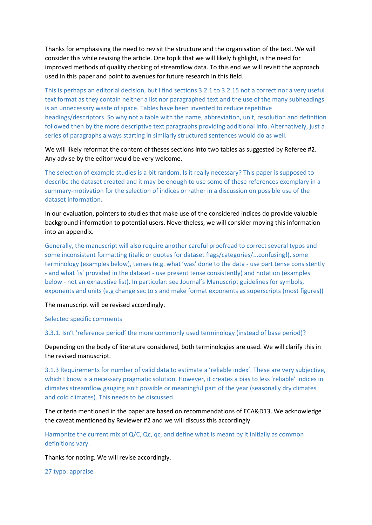Thanks for emphasising the need to revisit the structure and the organisation of the text. We will consider this while revising the article. One topik that we will likely highlight, is the need for improved methods of quality checking of streamflow data. To this end we will revisit the approach used in this paper and point to avenues for future research in this field.

This is perhaps an editorial decision, but I find sections 3.2.1 to 3.2.15 not a correct nor a very useful text format as they contain neither a list nor paragraphed text and the use of the many subheadings is an unnecessary waste of space. Tables have been invented to reduce repetitive headings/descriptors. So why not a table with the name, abbreviation, unit, resolution and definition followed then by the more descriptive text paragraphs providing additional info. Alternatively, just a series of paragraphs always starting in similarly structured sentences would do as well.

We will likely reformat the content of theses sections into two tables as suggested by Referee #2. Any advise by the editor would be very welcome.

The selection of example studies is a bit random. Is it really necessary? This paper is supposed to describe the dataset created and it may be enough to use some of these references exemplary in a summary-motivation for the selection of indices or rather in a discussion on possible use of the dataset information.

In our evaluation, pointers to studies that make use of the considered indices do provide valuable background information to potential users. Nevertheless, we will consider moving this information into an appendix.

Generally, the manuscript will also require another careful proofread to correct several typos and some inconsistent formatting (italic or quotes for dataset flags/categories/...confusing!), some terminology (examples below), tenses (e.g. what 'was' done to the data - use part tense consistently - and what 'is' provided in the dataset - use present tense consistently) and notation (examples below - not an exhaustive list). In particular: see Journal's Manuscript guidelines for symbols, exponents and units (e.g change sec to s and make format exponents as superscripts (most figures))

The manuscript will be revised accordingly.

Selected specific comments

3.3.1. Isn't 'reference period' the more commonly used terminology (instead of base period)?

Depending on the body of literature considered, both terminologies are used. We will clarify this in the revised manuscript.

3.1.3 Requirements for number of valid data to estimate a 'reliable index'. These are very subjective, which I know is a necessary pragmatic solution. However, it creates a bias to less 'reliable' indices in climates streamflow gauging isn't possible or meaningful part of the year (seasonally dry climates and cold climates). This needs to be discussed.

The criteria mentioned in the paper are based on recommendations of ECA&D13. We acknowledge the caveat mentioned by Reviewer #2 and we will discuss this accordingly.

Harmonize the current mix of Q/C, Qc, qc, and define what is meant by it initially as common definitions vary.

Thanks for noting. We will revise accordingly.

27 typo: appraise